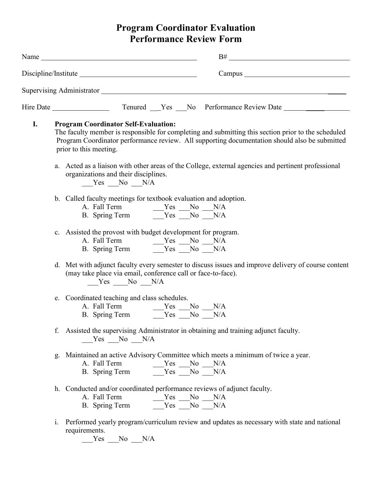## **Program Coordinator Evaluation Performance Review Form**

|    | B#                                                                                                                                                                                                                                                                            |
|----|-------------------------------------------------------------------------------------------------------------------------------------------------------------------------------------------------------------------------------------------------------------------------------|
|    |                                                                                                                                                                                                                                                                               |
|    | Supervising Administrator Supervision Supervision Administrator                                                                                                                                                                                                               |
|    |                                                                                                                                                                                                                                                                               |
| I. | <b>Program Coordinator Self-Evaluation:</b><br>The faculty member is responsible for completing and submitting this section prior to the scheduled<br>Program Coordinator performance review. All supporting documentation should also be submitted<br>prior to this meeting. |
|    | a. Acted as a liaison with other areas of the College, external agencies and pertinent professional<br>organizations and their disciplines.<br>Yes No N/A                                                                                                                     |
|    | b. Called faculty meetings for textbook evaluation and adoption.                                                                                                                                                                                                              |
|    | c. Assisted the provost with budget development for program.                                                                                                                                                                                                                  |
|    | d. Met with adjunct faculty every semester to discuss issues and improve delivery of course content<br>(may take place via email, conference call or face-to-face).<br>$Yes$ No $N/A$                                                                                         |
|    | e. Coordinated teaching and class schedules.<br>A. Fall Term $Yes$ No N/A<br>B. Spring Term $Yes$ No N/A                                                                                                                                                                      |
|    | Assisted the supervising Administrator in obtaining and training adjunct faculty.<br>f.<br>$Yes$ No $N/A$                                                                                                                                                                     |
|    | g. Maintained an active Advisory Committee which meets a minimum of twice a year.<br>A. Fall Term<br>$Yes$ No $N/A$<br>B. Spring Term $Yes$ No $N/A$                                                                                                                          |
|    | h. Conducted and/or coordinated performance reviews of adjunct faculty.<br>A. Fall Term $Yes$ No N/A<br>B. Spring Term $Yes$ No N/A                                                                                                                                           |

i. Performed yearly program/curriculum review and updates as necessary with state and national requirements.

 $Yes$  No  $N/A$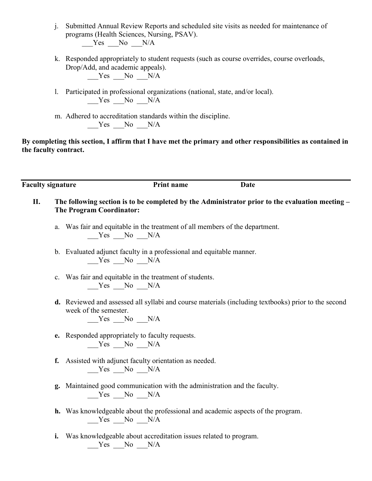- j. Submitted Annual Review Reports and scheduled site visits as needed for maintenance of programs (Health Sciences, Nursing, PSAV).  $Yes$  No  $N/A$
- k. Responded appropriately to student requests (such as course overrides, course overloads, Drop/Add, and academic appeals). Yes No N/A
- l. Participated in professional organizations (national, state, and/or local).  $Yes$  No  $N/A$
- m. Adhered to accreditation standards within the discipline.  $Yes$  No  $N/A$

**By completing this section, I affirm that I have met the primary and other responsibilities as contained in the faculty contract.**

**Faculty signature Print name Date**

- **II. The following section is to be completed by the Administrator prior to the evaluation meeting – The Program Coordinator:**
	- a. Was fair and equitable in the treatment of all members of the department. \_\_\_Yes \_\_\_No \_\_\_N/A
	- b. Evaluated adjunct faculty in a professional and equitable manner. Yes No N/A
	- c. Was fair and equitable in the treatment of students.  $Yes$  No  $N/A$
	- **d.** Reviewed and assessed all syllabi and course materials (including textbooks) prior to the second week of the semester.

 $Yes$  No  $N/A$ 

- **e.** Responded appropriately to faculty requests. Yes No N/A
- **f.** Assisted with adjunct faculty orientation as needed.  $Yes$  No  $N/A$
- **g.** Maintained good communication with the administration and the faculty.  $Yes$  No  $N/A$
- **h.** Was knowledgeable about the professional and academic aspects of the program.  $Yes$  No  $N/A$
- **i.** Was knowledgeable about accreditation issues related to program.  $Yes$  No  $N/A$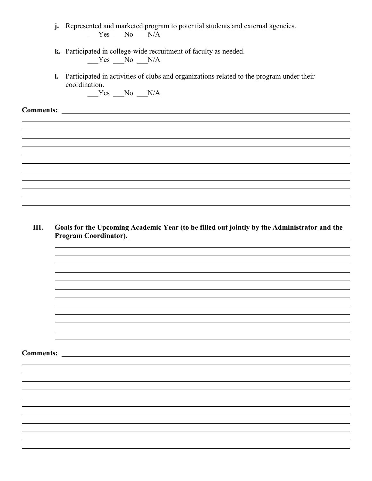- **j.** Represented and marketed program to potential students and external agencies.  $Yes$  No  $N/A$
- **k.** Participated in college-wide recruitment of faculty as needed.  $Yes$  No  $N/A$
- **l.** Participated in activities of clubs and organizations related to the program under their coordination.

 $Yes$  No  $N/A$ 

**Comments:** 

**III. Goals for the Upcoming Academic Year (to be filled out jointly by the Administrator and the Program Coordinator).** 

**Comments:**